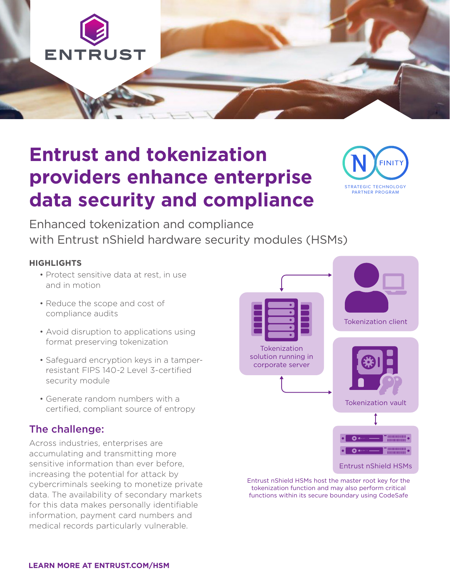

# **Entrust and tokenization providers enhance enterprise data security and compliance**



Enhanced tokenization and compliance with Entrust nShield hardware security modules (HSMs)

#### **HIGHLIGHTS**

- Protect sensitive data at rest, in use and in motion
- Reduce the scope and cost of compliance audits
- Avoid disruption to applications using format preserving tokenization
- Safeguard encryption keys in a tamperresistant FIPS 140-2 Level 3-certified security module
- Generate random numbers with a certified, compliant source of entropy

### The challenge:

Across industries, enterprises are accumulating and transmitting more sensitive information than ever before, increasing the potential for attack by cybercriminals seeking to monetize private data. The availability of secondary markets for this data makes personally identifiable information, payment card numbers and medical records particularly vulnerable.



Entrust nShield HSMs host the master root key for the tokenization function and may also perform critical functions within its secure boundary using CodeSafe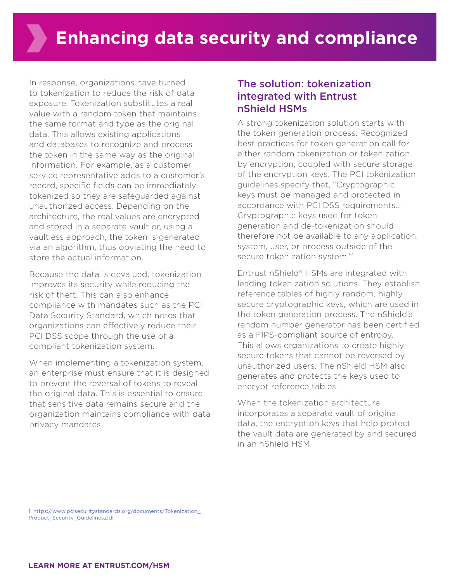In response, organizations have turned to tokenization to reduce the risk of data exposure. Tokenization substitutes a real value with a random token that maintains the same format and type as the original data. This allows existing applications and databases to recognize and process the token in the same way as the original information. For example, as a customer service representative adds to a customer's record, specific fields can be immediately tokenized so they are safeguarded against unauthorized access. Depending on the architecture, the real values are encrypted and stored in a separate vault or, using a vaultless approach, the token is generated via an algorithm, thus obviating the need to store the actual information.

Because the data is devalued, tokenization improves its security while reducing the risk of theft. This can also enhance compliance with mandates such as the PCI Data Security Standard, which notes that organizations can effectively reduce their PCI DSS scope through the use of a compliant tokenization system.

When implementing a tokenization system, an enterprise must ensure that it is designed to prevent the reversal of tokens to reveal the original data. This is essential to ensure that sensitive data remains secure and the organization maintains compliance with data privacy mandates.

### The solution: tokenization integrated with Entrust nShield HSMs

A strong tokenization solution starts with the token generation process. Recognized best practices for token generation call for either random tokenization or tokenization by encryption, coupled with secure storage of the encryption keys. The PCI tokenization guidelines specify that, "Cryptographic keys must be managed and protected in accordance with PCI DSS requirements… Cryptographic keys used for token generation and de-tokenization should therefore not be available to any application, system, user, or process outside of the secure tokenization system."1

Entrust nShield® HSMs are integrated with leading tokenization solutions. They establish reference tables of highly random, highly secure cryptographic keys, which are used in the token generation process. The nShield's random number generator has been certified as a FIPS-compliant source of entropy. This allows organizations to create highly secure tokens that cannot be reversed by unauthorized users. The nShield HSM also generates and protects the keys used to encrypt reference tables.

When the tokenization architecture incorporates a separate vault of original data, the encryption keys that help protect the vault data are generated by and secured in an nShield HSM.

1. https://www.pcisecuritystandards.org/documents/Tokenization\_ Product\_Security\_Guidelines.pdf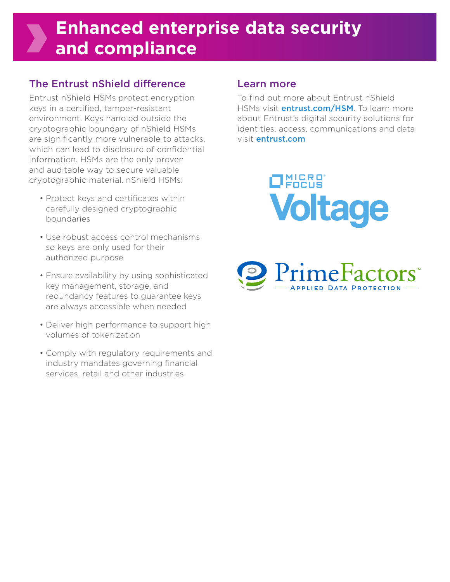## **Enhanced enterprise data security and compliance**

## The Entrust nShield difference

Entrust nShield HSMs protect encryption keys in a certified, tamper-resistant environment. Keys handled outside the cryptographic boundary of nShield HSMs are significantly more vulnerable to attacks, which can lead to disclosure of confidential information. HSMs are the only proven and auditable way to secure valuable cryptographic material. nShield HSMs:

- Protect keys and certificates within carefully designed cryptographic boundaries
- Use robust access control mechanisms so keys are only used for their authorized purpose
- Ensure availability by using sophisticated key management, storage, and redundancy features to guarantee keys are always accessible when needed
- Deliver high performance to support high volumes of tokenization
- Comply with regulatory requirements and industry mandates governing financial services, retail and other industries

### Learn more

To find out more about Entrust nShield HSMs visit **entrust.com/HSM**. To learn more about Entrust's digital security solutions for identities, access, communications and data visit entrust.com